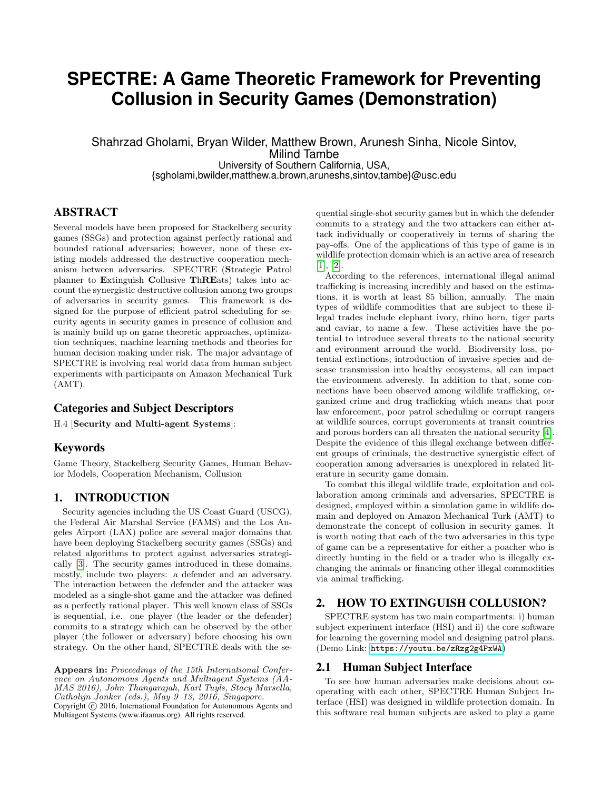# **SPECTRE: A Game Theoretic Framework for Preventing Collusion in Security Games (Demonstration)**

Shahrzad Gholami, Bryan Wilder, Matthew Brown, Arunesh Sinha, Nicole Sintov, Milind Tambe University of Southern California, USA, {sgholami,bwilder,matthew.a.brown,aruneshs,sintov,tambe}@usc.edu

# ABSTRACT

Several models have been proposed for Stackelberg security games (SSGs) and protection against perfectly rational and bounded rational adversaries; however, none of these existing models addressed the destructive cooperation mechanism between adversaries. SPECTRE (Strategic Patrol planner to Extinguish Collusive ThREats) takes into account the synergistic destructive collusion among two groups of adversaries in security games. This framework is designed for the purpose of efficient patrol scheduling for security agents in security games in presence of collusion and is mainly build up on game theoretic approaches, optimization techniques, machine learning methods and theories for human decision making under risk. The major advantage of SPECTRE is involving real world data from human subject experiments with participants on Amazon Mechanical Turk  $(AMT)$ .

## Categories and Subject Descriptors

H.4 [Security and Multi-agent Systems]:

### Keywords

Game Theory, Stackelberg Security Games, Human Behavior Models, Cooperation Mechanism, Collusion

# 1. INTRODUCTION

Security agencies including the US Coast Guard (USCG), the Federal Air Marshal Service (FAMS) and the Los Angeles Airport (LAX) police are several major domains that have been deploying Stackelberg security games (SSGs) and related algorithms to protect against adversaries strategically [\[3\]](#page-1-0). The security games introduced in these domains, mostly, include two players: a defender and an adversary. The interaction between the defender and the attacker was modeled as a single-shot game and the attacker was defined as a perfectly rational player. This well known class of SSGs is sequential, i.e. one player (the leader or the defender) commits to a strategy which can be observed by the other player (the follower or adversary) before choosing his own strategy. On the other hand, SPECTRE deals with the se-

Appears in: Proceedings of the 15th International Conference on Autonomous Agents and Multiagent Systems (AA-MAS 2016), John Thangarajah, Karl Tuyls, Stacy Marsella, Catholijn Jonker (eds.), May  $9-13$ , 2016, Singapore.

Copyright (C) 2016, International Foundation for Autonomous Agents and Multiagent Systems (www.ifaamas.org). All rights reserved.

quential single-shot security games but in which the defender commits to a strategy and the two attackers can either attack individually or cooperatively in terms of sharing the pay-offs. One of the applications of this type of game is in wildlife protection domain which is an active area of research [\[1\]](#page-1-1), [\[2\]](#page-1-2).

According to the references, international illegal animal trafficking is increasing incredibly and based on the estimations, it is worth at least \$5 billion, annually. The main types of wildlife commodities that are subject to these illegal trades include elephant ivory, rhino horn, tiger parts and caviar, to name a few. These activities have the potential to introduce several threats to the national security and evironment arround the world. Biodiversity loss, potential extinctions, introduction of invasive species and desease transmission into healthy ecosystems, all can impact the environment adveresly. In addition to that, some connections have been observed among wildlife trafficking, organized crime and drug trafficking which means that poor law enforcement, poor patrol scheduling or corrupt rangers at wildlife sources, corrupt governments at transit countries and porous borders can all threaten the national security [\[4\]](#page-1-3). Despite the evidence of this illegal exchange between different groups of criminals, the destructive synergistic effect of cooperation among adversaries is unexplored in related literature in security game domain.

To combat this illegal wildlife trade, exploitation and collaboration among criminals and adversaries, SPECTRE is designed, employed within a simulation game in wildlife domain and deployed on Amazon Mechanical Turk (AMT) to demonstrate the concept of collusion in security games. It is worth noting that each of the two adversaries in this type of game can be a representative for either a poacher who is directly hunting in the field or a trader who is illegally exchanging the animals or financing other illegal commodities via animal trafficking.

## 2. HOW TO EXTINGUISH COLLUSION?

SPECTRE system has two main compartments: i) human subject experiment interface (HSI) and ii) the core software for learning the governing model and designing patrol plans. (Demo Link: <https://youtu.be/zRzg2g4PxWA>)

# 2.1 Human Subject Interface

To see how human adversaries make decisions about cooperating with each other, SPECTRE Human Subject Interface (HSI) was designed in wildlife protection domain. In this software real human subjects are asked to play a game